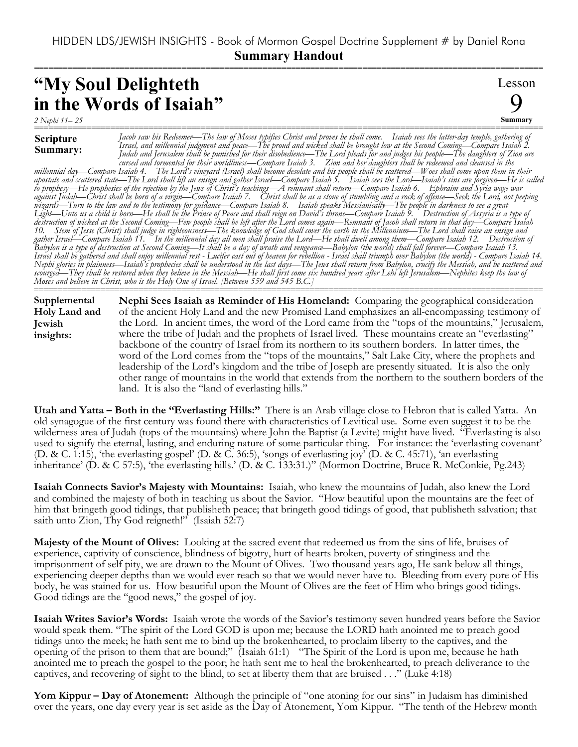===========================================================================================================

## **"My Soul Delighteth in the Words of Isaiah"**

Lesson 9 **Summary**

*2 Nephi 11– 25* ===========================================================================================================

## **Scripture**

**Summary:** *Jacob saw his Redeemer—The law of Moses typifies Christ and proves he shall come. Isaiah sees the latter-day temple, gathering of Israel, and millennial judgment and peace—The proud and wicked shall be brought low at the Second Coming—Compare Isaiah 2. Judah and Jerusalem shall be punished for their disobedience—The Lord pleads for and judges his people—The daughters of Zion are cursed and tormented for their worldliness—Compare Isaiah 3. Zion and her daughters shall be redeemed and cleansed in the millennial day—Compare Isaiah 4. The Lord's vineyard (Israel) shall become desolate and his people shall be scattered—Woes shall come upon them in their apostate and scattered state—The Lord shall lift an ensign and gather Israel—Compare Isaiah 5. Isaiah sees the Lord—Isaiah's sins are forgiven—He is called to prophesy—He prophesies of the rejection by the Jews of Christ's teachings—A remnant shall return—Compare Isaiah 6. Ephraim and Syria wage war against Judah—Christ shall be born of a virgin—Compare Isaiah 7. Christ shall be as a stone of stumbling and a rock of offense—Seek the Lord, not peeping wizards—Turn to the law and to the testimony for guidance—Compare Isaiah 8. Isaiah speaks Messianically—The people in darkness to see a great Light—Unto us a child is born—He shall be the Prince of Peace and shall reign on David's throne—Compare Isaiah 9. Destruction of Assyria is a type of destruction of wicked at the Second Coming—Few people shall be left after the Lord comes again—Remnant of Jacob shall return in that day—Compare Isaiah 10. Stem of Jesse (Christ) shall judge in righteousness—The knowledge of God shall cover the earth in the Millennium—The Lord shall raise an ensign and gather Israel—Compare Isaiah 11. In the millennial day all men shall praise the Lord—He shall dwell among them—Compare Isaiah 12. Destruction of Babylon is a type of destruction at Second Coming—It shall be a day of wrath and vengeance—Babylon (the world) shall fall forever—Compare Isaiah 13. Israel shall be gathered and shall enjoy millennial rest - Lucifer cast out of heaven for rebellion - Israel shall triumph over Babylon (the world) - Compare Isaiah 14. Nephi glories in plainness—Isaiah's prophecies shall be understood in the last days—The Jews shall return from Babylon, crucify the Messiah, and be scattered and scourged—They shall be restored when they believe in the Messiah—He shall first come six hundred years after Lehi left Jerusalem—Nephites keep the law of Moses and believe in Christ, who is the Holy One of Israel. [Between 559 and 545 B.C.]*

=========================================================================================================== **Nephi Sees Isaiah as Reminder of His Homeland:** Comparing the geographical consideration of the ancient Holy Land and the new Promised Land emphasizes an all-encompassing testimony of the Lord. In ancient times, the word of the Lord came from the "tops of the mountains," Jerusalem, where the tribe of Judah and the prophets of Israel lived. These mountains create an "everlasting" backbone of the country of Israel from its northern to its southern borders. In latter times, the word of the Lord comes from the "tops of the mountains," Salt Lake City, where the prophets and leadership of the Lord's kingdom and the tribe of Joseph are presently situated. It is also the only other range of mountains in the world that extends from the northern to the southern borders of the land. It is also the "land of everlasting hills." **Supplemental Holy Land and Jewish insights:**

**Utah and Yatta – Both in the "Everlasting Hills:"** There is an Arab village close to Hebron that is called Yatta. An old synagogue of the first century was found there with characteristics of Levitical use. Some even suggest it to be the wilderness area of Judah (tops of the mountains) where John the Baptist (a Levite) might have lived. "Everlasting is also used to signify the eternal, lasting, and enduring nature of some particular thing. For instance: the 'everlasting covenant' (D. & C. 1:15), 'the everlasting gospel' (D. & C. 36:5), 'songs of everlasting joy' (D. & C. 45:71), 'an everlasting inheritance' (D. & C 57:5), 'the everlasting hills.' (D. & C. 133:31.)" (Mormon Doctrine, Bruce R. McConkie, Pg.243)

**Isaiah Connects Savior's Majesty with Mountains:** Isaiah, who knew the mountains of Judah, also knew the Lord and combined the majesty of both in teaching us about the Savior. "How beautiful upon the mountains are the feet of him that bringeth good tidings, that publisheth peace; that bringeth good tidings of good, that publisheth salvation; that saith unto Zion, Thy God reigneth!" (Isaiah 52:7)

**Majesty of the Mount of Olives:** Looking at the sacred event that redeemed us from the sins of life, bruises of experience, captivity of conscience, blindness of bigotry, hurt of hearts broken, poverty of stinginess and the imprisonment of self pity, we are drawn to the Mount of Olives. Two thousand years ago, He sank below all things, experiencing deeper depths than we would ever reach so that we would never have to. Bleeding from every pore of His body, he was stained for us. How beautiful upon the Mount of Olives are the feet of Him who brings good tidings. Good tidings are the "good news," the gospel of joy.

**Isaiah Writes Savior's Words:** Isaiah wrote the words of the Savior's testimony seven hundred years before the Savior would speak them. "The spirit of the Lord GOD is upon me; because the LORD hath anointed me to preach good tidings unto the meek; he hath sent me to bind up the brokenhearted, to proclaim liberty to the captives, and the opening of the prison to them that are bound;" (Isaiah 61:1) "The Spirit of the Lord is upon me, because he hath anointed me to preach the gospel to the poor; he hath sent me to heal the brokenhearted, to preach deliverance to the captives, and recovering of sight to the blind, to set at liberty them that are bruised . . ." (Luke 4:18)

**Yom Kippur – Day of Atonement:** Although the principle of "one atoning for our sins" in Judaism has diminished over the years, one day every year is set aside as the Day of Atonement, Yom Kippur. "The tenth of the Hebrew month